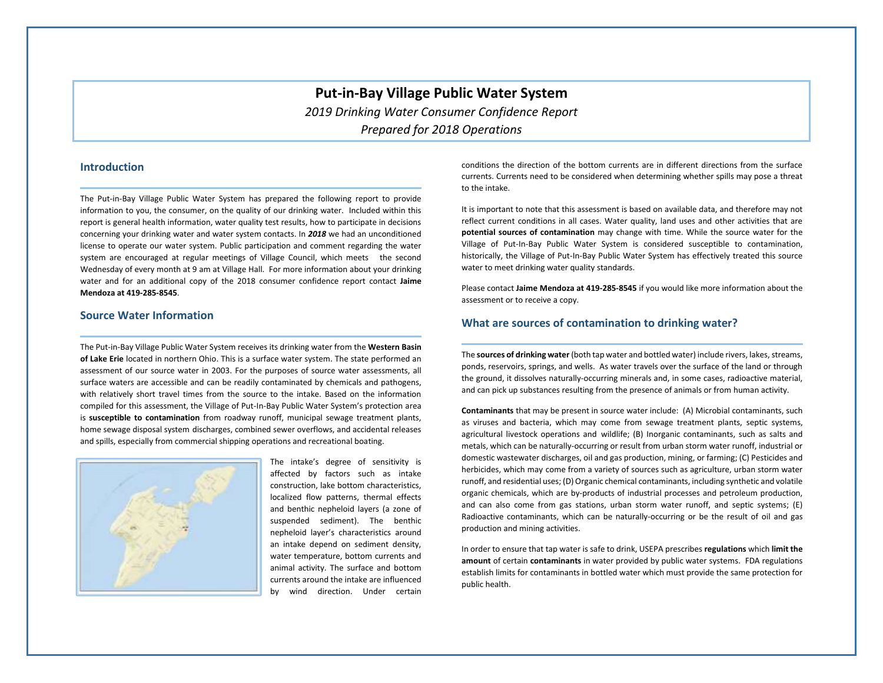# **Put-in-Bay Village Public Water System** *2019 Drinking Water Consumer Confidence Report Prepared for 2018 Operations*

#### **Introduction**

The Put-in-Bay Village Public Water System has prepared the following report to provide information to you, the consumer, on the quality of our drinking water. Included within this report is general health information, water quality test results, how to participate in decisions concerning your drinking water and water system contacts. In *2018* we had an unconditioned license to operate our water system. Public participation and comment regarding the water system are encouraged at regular meetings of Village Council, which meets the second Wednesday of every month at 9 am at Village Hall. For more information about your drinking water and for an additional copy of the 2018 consumer confidence report contact **Jaime Mendoza at 419-285-8545**.

#### **Source Water Information**

The Put-in-Bay Village Public Water System receives its drinking water from the **Western Basin of Lake Erie** located in northern Ohio. This is a surface water system. The state performed an assessment of our source water in 2003. For the purposes of source water assessments, all surface waters are accessible and can be readily contaminated by chemicals and pathogens, with relatively short travel times from the source to the intake. Based on the information compiled for this assessment, the Village of Put-In-Bay Public Water System's protection area is **susceptible to contamination** from roadway runoff, municipal sewage treatment plants, home sewage disposal system discharges, combined sewer overflows, and accidental releases and spills, especially from commercial shipping operations and recreational boating.



The intake's degree of sensitivity is affected by factors such as intake construction, lake bottom characteristics, localized flow patterns, thermal effects and benthic nepheloid layers (a zone of suspended sediment). The benthic nepheloid layer's characteristics around an intake depend on sediment density, water temperature, bottom currents and animal activity. The surface and bottom currents around the intake are influenced by wind direction. Under certain conditions the direction of the bottom currents are in different directions from the surface currents. Currents need to be considered when determining whether spills may pose a threat to the intake.

It is important to note that this assessment is based on available data, and therefore may not reflect current conditions in all cases. Water quality, land uses and other activities that are **potential sources of contamination** may change with time. While the source water for the Village of Put-In-Bay Public Water System is considered susceptible to contamination, historically, the Village of Put-In-Bay Public Water System has effectively treated this source water to meet drinking water quality standards.

Please contact **Jaime Mendoza at 419-285-8545** if you would like more information about the assessment or to receive a copy.

#### **What are sources of contamination to drinking water?**

The **sources of drinking water** (both tap water and bottled water) include rivers, lakes, streams, ponds, reservoirs, springs, and wells. As water travels over the surface of the land or through the ground, it dissolves naturally-occurring minerals and, in some cases, radioactive material, and can pick up substances resulting from the presence of animals or from human activity.

**Contaminants** that may be present in source water include: (A) Microbial contaminants, such as viruses and bacteria, which may come from sewage treatment plants, septic systems, agricultural livestock operations and wildlife; (B) Inorganic contaminants, such as salts and metals, which can be naturally-occurring or result from urban storm water runoff, industrial or domestic wastewater discharges, oil and gas production, mining, or farming; (C) Pesticides and herbicides, which may come from a variety of sources such as agriculture, urban storm water runoff, and residential uses; (D) Organic chemical contaminants, including synthetic and volatile organic chemicals, which are by-products of industrial processes and petroleum production, and can also come from gas stations, urban storm water runoff, and septic systems; (E) Radioactive contaminants, which can be naturally-occurring or be the result of oil and gas production and mining activities.

In order to ensure that tap water is safe to drink, USEPA prescribes **regulations** which **limit the amount** of certain **contaminants** in water provided by public water systems. FDA regulations establish limits for contaminants in bottled water which must provide the same protection for public health.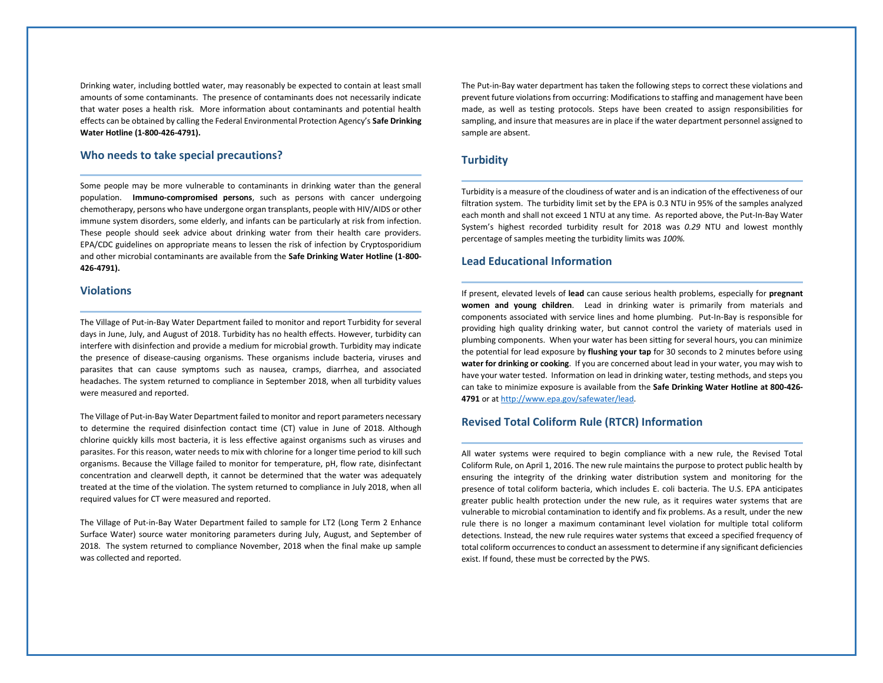Drinking water, including bottled water, may reasonably be expected to contain at least small amounts of some contaminants. The presence of contaminants does not necessarily indicate that water poses a health risk. More information about contaminants and potential health effects can be obtained by calling the Federal Environmental Protection Agency's **Safe Drinking Water Hotline (1-800-426-4791).**

#### **Who needs to take special precautions?**

Some people may be more vulnerable to contaminants in drinking water than the general population. **Immuno-compromised persons**, such as persons with cancer undergoing chemotherapy, persons who have undergone organ transplants, people with HIV/AIDS or other immune system disorders, some elderly, and infants can be particularly at risk from infection. These people should seek advice about drinking water from their health care providers. EPA/CDC guidelines on appropriate means to lessen the risk of infection by Cryptosporidium and other microbial contaminants are available from the **Safe Drinking Water Hotline (1-800- 426-4791).**

#### **Violations**

The Village of Put-in-Bay Water Department failed to monitor and report Turbidity for several days in June, July, and August of 2018. Turbidity has no health effects. However, turbidity can interfere with disinfection and provide a medium for microbial growth. Turbidity may indicate the presence of disease-causing organisms. These organisms include bacteria, viruses and parasites that can cause symptoms such as nausea, cramps, diarrhea, and associated headaches. The system returned to compliance in September 2018, when all turbidity values were measured and reported.

The Village of Put-in-Bay Water Department failed to monitor and report parameters necessary to determine the required disinfection contact time (CT) value in June of 2018. Although chlorine quickly kills most bacteria, it is less effective against organisms such as viruses and parasites. For this reason, water needs to mix with chlorine for a longer time period to kill such organisms. Because the Village failed to monitor for temperature, pH, flow rate, disinfectant concentration and clearwell depth, it cannot be determined that the water was adequately treated at the time of the violation. The system returned to compliance in July 2018, when all required values for CT were measured and reported.

The Village of Put-in-Bay Water Department failed to sample for LT2 (Long Term 2 Enhance Surface Water) source water monitoring parameters during July, August, and September of 2018. The system returned to compliance November, 2018 when the final make up sample was collected and reported.

The Put-in-Bay water department has taken the following steps to correct these violations and prevent future violations from occurring: Modifications to staffing and management have been made, as well as testing protocols. Steps have been created to assign responsibilities for sampling, and insure that measures are in place if the water department personnel assigned to sample are absent.

#### **Turbidity**

Turbidity is a measure of the cloudiness of water and is an indication of the effectiveness of our filtration system. The turbidity limit set by the EPA is 0.3 NTU in 95% of the samples analyzed each month and shall not exceed 1 NTU at any time. As reported above, the Put-In-Bay Water System's highest recorded turbidity result for 2018 was *0.29* NTU and lowest monthly percentage of samples meeting the turbidity limits was *100%.*

#### **Lead Educational Information**

If present, elevated levels of **lead** can cause serious health problems, especially for **pregnant women and young children**. Lead in drinking water is primarily from materials and components associated with service lines and home plumbing. Put-In-Bay is responsible for providing high quality drinking water, but cannot control the variety of materials used in plumbing components. When your water has been sitting for several hours, you can minimize the potential for lead exposure by **flushing your tap** for 30 seconds to 2 minutes before using **water for drinking or cooking**. If you are concerned about lead in your water, you may wish to have your water tested. Information on lead in drinking water, testing methods, and steps you can take to minimize exposure is available from the **Safe Drinking Water Hotline at 800-426- 4791** or a[t http://www.epa.gov/safewater/lead.](http://www.epa.gov/safewater/lead)

#### **Revised Total Coliform Rule (RTCR) Information**

All water systems were required to begin compliance with a new rule, the Revised Total Coliform Rule, on April 1, 2016. The new rule maintains the purpose to protect public health by ensuring the integrity of the drinking water distribution system and monitoring for the presence of total coliform bacteria, which includes E. coli bacteria. The U.S. EPA anticipates greater public health protection under the new rule, as it requires water systems that are vulnerable to microbial contamination to identify and fix problems. As a result, under the new rule there is no longer a maximum contaminant level violation for multiple total coliform detections. Instead, the new rule requires water systems that exceed a specified frequency of total coliform occurrences to conduct an assessment to determine if any significant deficiencies exist. If found, these must be corrected by the PWS.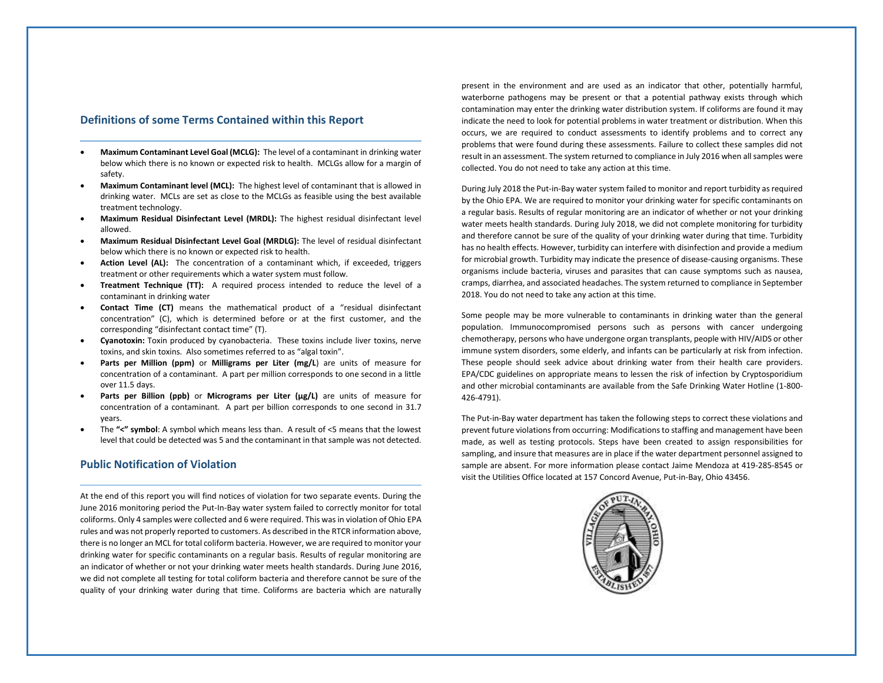#### **Definitions of some Terms Contained within this Report**

- **Maximum Contaminant Level Goal (MCLG):** The level of a contaminant in drinking water below which there is no known or expected risk to health. MCLGs allow for a margin of safety.
- **Maximum Contaminant level (MCL):** The highest level of contaminant that is allowed in drinking water. MCLs are set as close to the MCLGs as feasible using the best available treatment technology.
- **Maximum Residual Disinfectant Level (MRDL):** The highest residual disinfectant level allowed.
- **Maximum Residual Disinfectant Level Goal (MRDLG):** The level of residual disinfectant below which there is no known or expected risk to health.
- **Action Level (AL):** The concentration of a contaminant which, if exceeded, triggers treatment or other requirements which a water system must follow.
- **Treatment Technique (TT):** A required process intended to reduce the level of a contaminant in drinking water
- **Contact Time (CT)** means the mathematical product of a "residual disinfectant concentration" (C), which is determined before or at the first customer, and the corresponding "disinfectant contact time" (T).
- **Cyanotoxin:** Toxin produced by cyanobacteria. These toxins include liver toxins, nerve toxins, and skin toxins. Also sometimes referred to as "algal toxin".
- **Parts per Million (ppm)** or **Milligrams per Liter (mg/L**) are units of measure for concentration of a contaminant. A part per million corresponds to one second in a little over 11.5 days.
- **Parts per Billion (ppb)** or **Micrograms per Liter (μg/L)** are units of measure for concentration of a contaminant. A part per billion corresponds to one second in 31.7 years.
- The **"<" symbol**: A symbol which means less than. A result of <5 means that the lowest level that could be detected was 5 and the contaminant in that sample was not detected.

#### **Public Notification of Violation**

At the end of this report you will find notices of violation for two separate events. During the June 2016 monitoring period the Put-In-Bay water system failed to correctly monitor for total coliforms. Only 4 samples were collected and 6 were required. This was in violation of Ohio EPA rules and was not properly reported to customers. As described in the RTCR information above, there is no longer an MCL for total coliform bacteria. However, we are required to monitor your drinking water for specific contaminants on a regular basis. Results of regular monitoring are an indicator of whether or not your drinking water meets health standards. During June 2016, we did not complete all testing for total coliform bacteria and therefore cannot be sure of the quality of your drinking water during that time. Coliforms are bacteria which are naturally

present in the environment and are used as an indicator that other, potentially harmful, waterborne pathogens may be present or that a potential pathway exists through which contamination may enter the drinking water distribution system. If coliforms are found it may indicate the need to look for potential problems in water treatment or distribution. When this occurs, we are required to conduct assessments to identify problems and to correct any problems that were found during these assessments. Failure to collect these samples did not result in an assessment. The system returned to compliance in July 2016 when all samples were collected. You do not need to take any action at this time.

During July 2018 the Put-in-Bay water system failed to monitor and report turbidity as required by the Ohio EPA. We are required to monitor your drinking water for specific contaminants on a regular basis. Results of regular monitoring are an indicator of whether or not your drinking water meets health standards. During July 2018, we did not complete monitoring for turbidity and therefore cannot be sure of the quality of your drinking water during that time. Turbidity has no health effects. However, turbidity can interfere with disinfection and provide a medium for microbial growth. Turbidity may indicate the presence of disease-causing organisms. These organisms include bacteria, viruses and parasites that can cause symptoms such as nausea, cramps, diarrhea, and associated headaches. The system returned to compliance in September 2018. You do not need to take any action at this time.

Some people may be more vulnerable to contaminants in drinking water than the general population. Immunocompromised persons such as persons with cancer undergoing chemotherapy, persons who have undergone organ transplants, people with HIV/AIDS or other immune system disorders, some elderly, and infants can be particularly at risk from infection. These people should seek advice about drinking water from their health care providers. EPA/CDC guidelines on appropriate means to lessen the risk of infection by Cryptosporidium and other microbial contaminants are available from the Safe Drinking Water Hotline (1-800- 426-4791).

The Put-in-Bay water department has taken the following steps to correct these violations and prevent future violations from occurring: Modifications to staffing and management have been made, as well as testing protocols. Steps have been created to assign responsibilities for sampling, and insure that measures are in place if the water department personnel assigned to sample are absent. For more information please contact Jaime Mendoza at 419-285-8545 or visit the Utilities Office located at 157 Concord Avenue, Put-in-Bay, Ohio 43456.

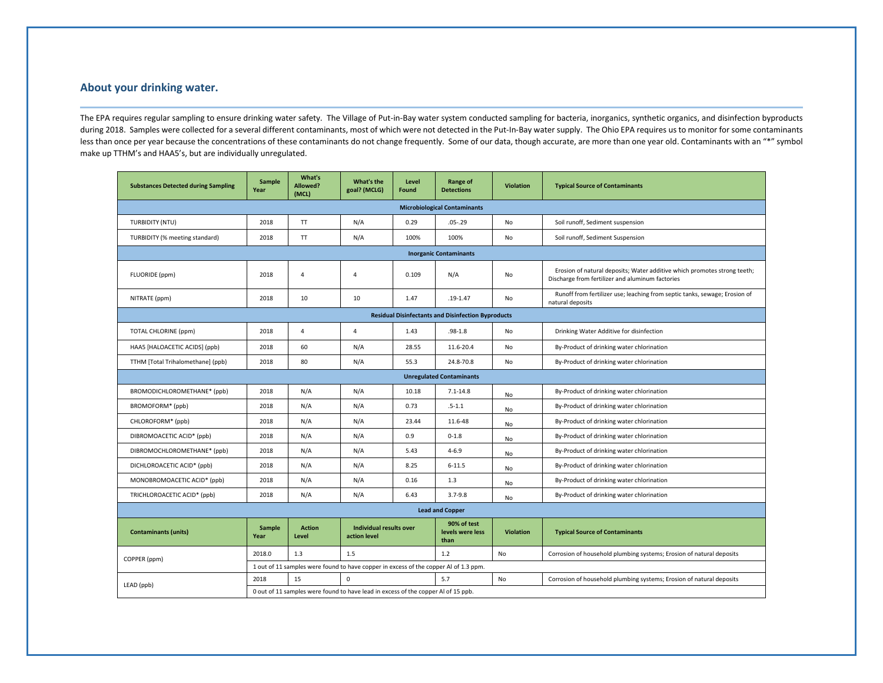### **About your drinking water.**

The EPA requires regular sampling to ensure drinking water safety. The Village of Put-in-Bay water system conducted sampling for bacteria, inorganics, synthetic organics, and disinfection byproducts during 2018. Samples were collected for a several different contaminants, most of which were not detected in the Put-In-Bay water supply. The Ohio EPA requires us to monitor for some contaminants less than once per year because the concentrations of these contaminants do not change frequently. Some of our data, though accurate, are more than one year old. Contaminants with an "\*" symbol make up TTHM's and HAA5's, but are individually unregulated.

| <b>Substances Detected during Sampling</b>                | <b>Sample</b><br>Year                                                                                          | What's<br>Allowed?<br>(MCL) | What's the<br>goal? (MCLG)                     | Level<br>Found | Range of<br><b>Detections</b>           | <b>Violation</b> | <b>Typical Source of Contaminants</b>                                                                                        |  |  |  |  |  |
|-----------------------------------------------------------|----------------------------------------------------------------------------------------------------------------|-----------------------------|------------------------------------------------|----------------|-----------------------------------------|------------------|------------------------------------------------------------------------------------------------------------------------------|--|--|--|--|--|
| <b>Microbiological Contaminants</b>                       |                                                                                                                |                             |                                                |                |                                         |                  |                                                                                                                              |  |  |  |  |  |
| <b>TURBIDITY (NTU)</b>                                    | 2018                                                                                                           | <b>TT</b>                   | N/A                                            | 0.29           | $.05 - .29$                             | <b>No</b>        | Soil runoff, Sediment suspension                                                                                             |  |  |  |  |  |
| TURBIDITY (% meeting standard)                            | 2018                                                                                                           | <b>TT</b>                   | N/A                                            | 100%           | 100%                                    | No               | Soil runoff, Sediment Suspension                                                                                             |  |  |  |  |  |
| <b>Inorganic Contaminants</b>                             |                                                                                                                |                             |                                                |                |                                         |                  |                                                                                                                              |  |  |  |  |  |
| FLUORIDE (ppm)                                            | 2018                                                                                                           | $\overline{4}$              | $\overline{4}$                                 | 0.109          | N/A                                     | <b>No</b>        | Erosion of natural deposits; Water additive which promotes strong teeth;<br>Discharge from fertilizer and aluminum factories |  |  |  |  |  |
| NITRATE (ppm)                                             | 2018                                                                                                           | 10                          | 10                                             | 1.47           | $.19 - 1.47$                            | No               | Runoff from fertilizer use; leaching from septic tanks, sewage; Erosion of<br>natural deposits                               |  |  |  |  |  |
| <b>Residual Disinfectants and Disinfection Byproducts</b> |                                                                                                                |                             |                                                |                |                                         |                  |                                                                                                                              |  |  |  |  |  |
| TOTAL CHLORINE (ppm)                                      | 2018                                                                                                           | 4                           | $\overline{4}$                                 | 1.43           | $.98 - 1.8$                             | No               | Drinking Water Additive for disinfection                                                                                     |  |  |  |  |  |
| HAA5 [HALOACETIC ACIDS] (ppb)                             | 2018                                                                                                           | 60                          | N/A                                            | 28.55          | 11.6-20.4                               | <b>No</b>        | By-Product of drinking water chlorination                                                                                    |  |  |  |  |  |
| TTHM [Total Trihalomethane] (ppb)                         | 2018                                                                                                           | 80                          | N/A                                            | 55.3           | 24.8-70.8                               | No               | By-Product of drinking water chlorination                                                                                    |  |  |  |  |  |
| <b>Unregulated Contaminants</b>                           |                                                                                                                |                             |                                                |                |                                         |                  |                                                                                                                              |  |  |  |  |  |
| BROMODICHLOROMETHANE* (ppb)                               | 2018                                                                                                           | N/A                         | N/A                                            | 10.18          | $7.1 - 14.8$                            | No               | By-Product of drinking water chlorination                                                                                    |  |  |  |  |  |
| BROMOFORM* (ppb)                                          | 2018                                                                                                           | N/A                         | N/A                                            | 0.73           | $.5 - 1.1$                              | No               | By-Product of drinking water chlorination                                                                                    |  |  |  |  |  |
| CHLOROFORM* (ppb)                                         | 2018                                                                                                           | N/A                         | N/A                                            | 23.44          | 11.6-48                                 | No               | By-Product of drinking water chlorination                                                                                    |  |  |  |  |  |
| DIBROMOACETIC ACID* (ppb)                                 | 2018                                                                                                           | N/A                         | N/A                                            | 0.9            | $0 - 1.8$                               | No               | By-Product of drinking water chlorination                                                                                    |  |  |  |  |  |
| DIBROMOCHLOROMETHANE* (ppb)                               | 2018                                                                                                           | N/A                         | N/A                                            | 5.43           | $4 - 6.9$                               | <b>No</b>        | By-Product of drinking water chlorination                                                                                    |  |  |  |  |  |
| DICHLOROACETIC ACID* (ppb)                                | 2018                                                                                                           | N/A                         | N/A                                            | 8.25           | $6 - 11.5$                              | No               | By-Product of drinking water chlorination                                                                                    |  |  |  |  |  |
| MONOBROMOACETIC ACID* (ppb)                               | 2018                                                                                                           | N/A                         | N/A                                            | 0.16           | 1.3                                     | No               | By-Product of drinking water chlorination                                                                                    |  |  |  |  |  |
| TRICHLOROACETIC ACID* (ppb)                               | 2018                                                                                                           | N/A                         | N/A                                            | 6.43           | $3.7 - 9.8$                             | <b>No</b>        | By-Product of drinking water chlorination                                                                                    |  |  |  |  |  |
| <b>Lead and Copper</b>                                    |                                                                                                                |                             |                                                |                |                                         |                  |                                                                                                                              |  |  |  |  |  |
| <b>Contaminants (units)</b>                               | Sample<br>Year                                                                                                 | <b>Action</b><br>Level      | <b>Individual results over</b><br>action level |                | 90% of test<br>levels were less<br>than | <b>Violation</b> | <b>Typical Source of Contaminants</b>                                                                                        |  |  |  |  |  |
| COPPER (ppm)                                              | 2018.0                                                                                                         | 1.3                         | 1.5                                            |                | 1.2                                     | No               | Corrosion of household plumbing systems; Erosion of natural deposits                                                         |  |  |  |  |  |
|                                                           | 1 out of 11 samples were found to have copper in excess of the copper Al of 1.3 ppm.                           |                             |                                                |                |                                         |                  |                                                                                                                              |  |  |  |  |  |
| LEAD (ppb)                                                | $\mathbf 0$<br>2018<br>15<br>5.7<br>No<br>Corrosion of household plumbing systems; Erosion of natural deposits |                             |                                                |                |                                         |                  |                                                                                                                              |  |  |  |  |  |
|                                                           | 0 out of 11 samples were found to have lead in excess of the copper Al of 15 ppb.                              |                             |                                                |                |                                         |                  |                                                                                                                              |  |  |  |  |  |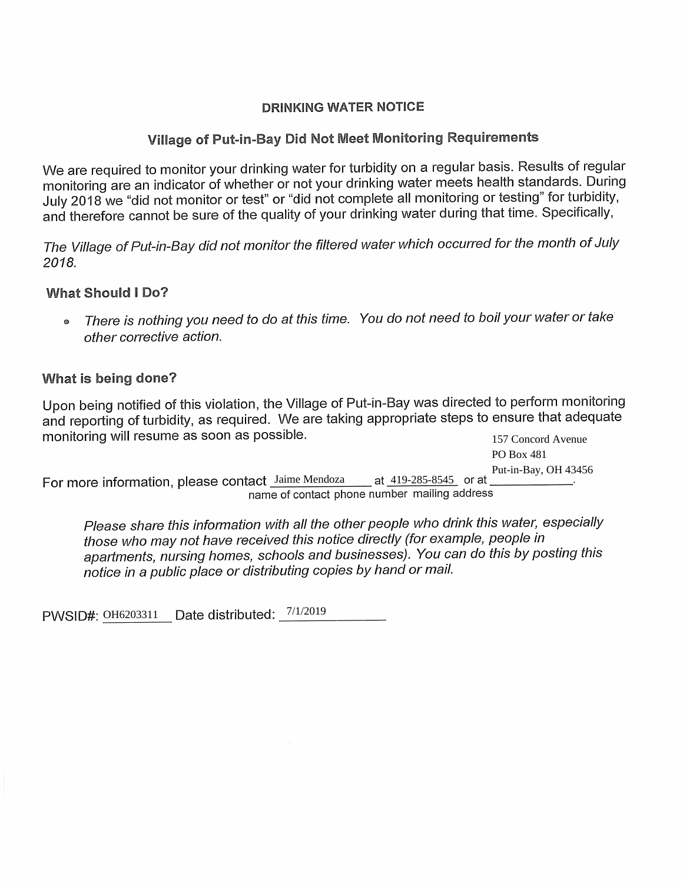### **DRINKING WATER NOTICE**

# Village of Put-in-Bay Did Not Meet Monitoring Requirements

We are required to monitor your drinking water for turbidity on a regular basis. Results of regular monitoring are an indicator of whether or not your drinking water meets health standards. During July 2018 we "did not monitor or test" or "did not complete all monitoring or testing" for turbidity, and therefore cannot be sure of the quality of your drinking water during that time. Specifically,

*The Village of Put-in-Bay did not monitor the filtered water which occurred for the month of July 2018.* 

# **What Should I Do?**

<sup>o</sup>*There is nothing you need to do at this time. You do not need to boil your water or take other corrective action.* 

# What is being done?

Upon being notified of this violation, the Village of Put-in-Bay was directed to perform monitoring and reporting of turbidity, as required. We are taking appropriate steps to ensure that adequate monitoring will resume as soon as possible. 157 Concord Avenue

For more information, please contact Jaime Mendoza name of contact phone number mailing address at 419-285-8545 or at PO Box 481 Put-in-Bay, OH 43456

*Please share this information with all the other people who drink this water, especially those who may not have received this notice directly (for example, people in apartments, nursing homes, schools and businesses). You can do this by posting this notice in a public place or distributing copies by hand or mail.* 

PWSID#: 0H6203311 Date distributed: 7/1/2019